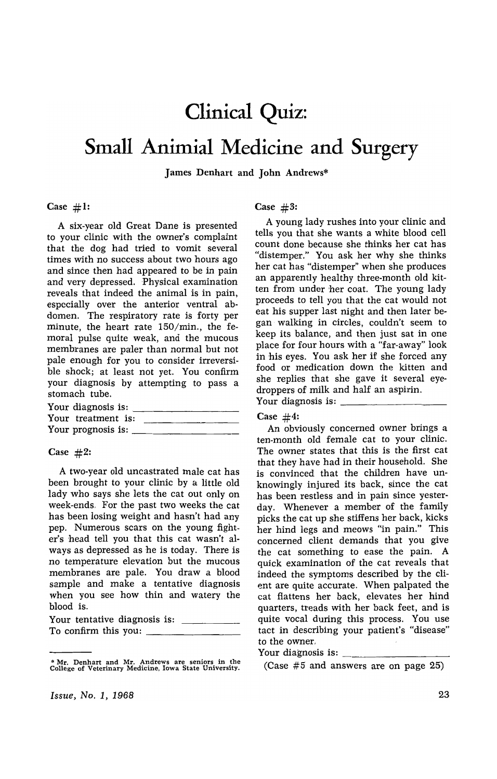# **Clinical Quiz:**

# **Small Animial Medicine and Surgery**

James Denhart and John Andrews\*

#### Case  $#1$ :

A six-year old Great Dane is presented to your clinic with the owner's complaint that the dog had tried to vomit several times with no success about two hours ago and since then had appeared to be in pain and very depressed. Physical examination reveals that indeed the animal is in pain, especially over the anterior ventral abdomen. The respiratory rate is forty per minute, the heart rate 150/min., the femoral pulse quite weak, and the mucous membranes are paler than normal but not pale enough for you to consider irreversible shock; at least not yet. You confirm your diagnosis by attempting to pass a stomach tube.

| stomach tube.             |  |
|---------------------------|--|
| Your diagnosis is:        |  |
| Your treatment is:        |  |
| Your prognosis is: $\_\_$ |  |

#### Case  $#2$ :

A two-year old uncastrated male cat has been brought to your clinic by a little old lady who says she lets the cat out only on week-ends. For the past two weeks the cat has been losing weight and hasn't had any pep. Numerous scars on the young fighter's head tell you that this cat wasn't always as depressed as he is today. There is no temperature elevation but the mucous membranes are pale. You draw a blood sample and make a tentative diagnosis when you see how thin and watery the blood is.

|                      | Your tentative diagnosis is: |  |
|----------------------|------------------------------|--|
| To confirm this you: |                              |  |

<sup>•</sup> Mr. Denhart and Mr. Andrews are seniors in the College of Veterinary Medicine, Iowa State University.

Case  $#3$ :

A young lady rushes into your clinic and tells you that she wants a white blood cell count done because she thinks her cat has "distemper." You ask her why she thinks her cat has "distemper" when she produces an apparently healthy three-month old kitten from under her coat. The young lady proceeds to tell you that the cat would not eat his supper last night and then later began· walking in circles, couldn't seem to keep its balance, and then just sat in one place for four hours with a "far-away" look in his eyes. You ask her if she forced any food or medication down the kitten and she replies that she gave it several eyedroppers of milk and half an aspirin. Your diagnosis is: \_\_\_\_\_\_\_\_\_ \_

#### Case  $#4$ :

An obviously concerned owner brings a ten-month old female cat to your clinic. The owner states that this is the first cat that they have had in their household. She is convinced that the children have unknowingly injured its back, since the cat has been restless and in pain since yesterday. Whenever a member of the family picks the cat up she stiffens her back, kicks her hind legs and meows "in pain." This concerned client demands that you give the cat something to ease the pain. A quick examination of the cat reveals that indeed the symptoms described by the client are quite accurate. When palpated the cat flattens her back, elevates her hind quarters, treads with her back feet, and is quite vocal during this process. You use tact in describing your patient's "disease" to the owner.

#### Your diagnosis is:

(Case  $#5$  and answers are on page 25)